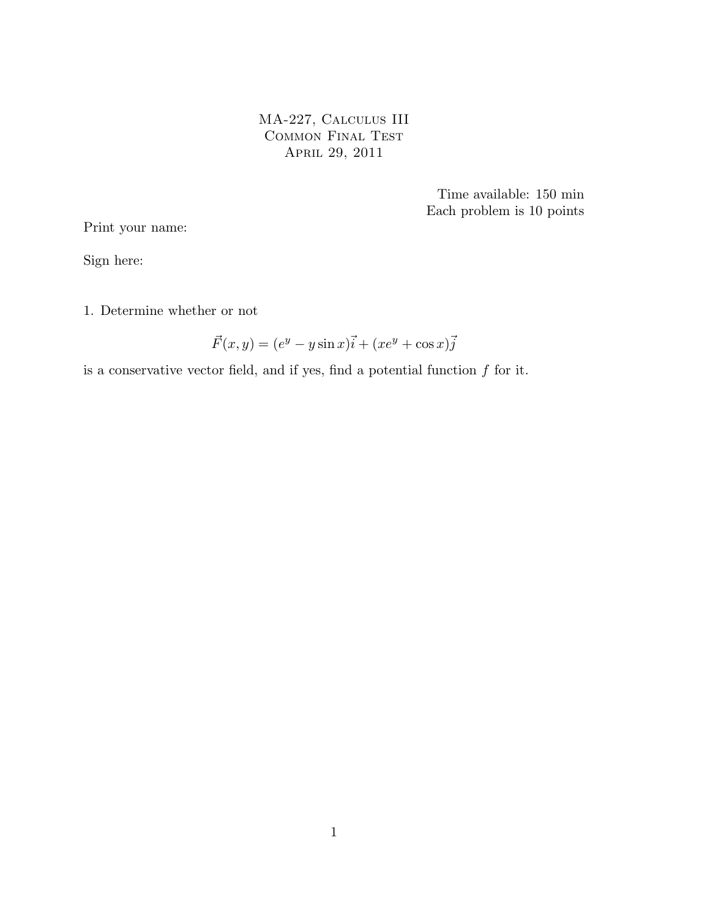MA-227, Calculus III Common Final Test April 29, 2011

> Time available: 150 min Each problem is 10 points

Print your name:

Sign here:

1. Determine whether or not

$$
\vec{F}(x,y) = (e^y - y\sin x)\vec{i} + (xe^y + \cos x)\vec{j}
$$

is a conservative vector field, and if yes, find a potential function  $f$  for it.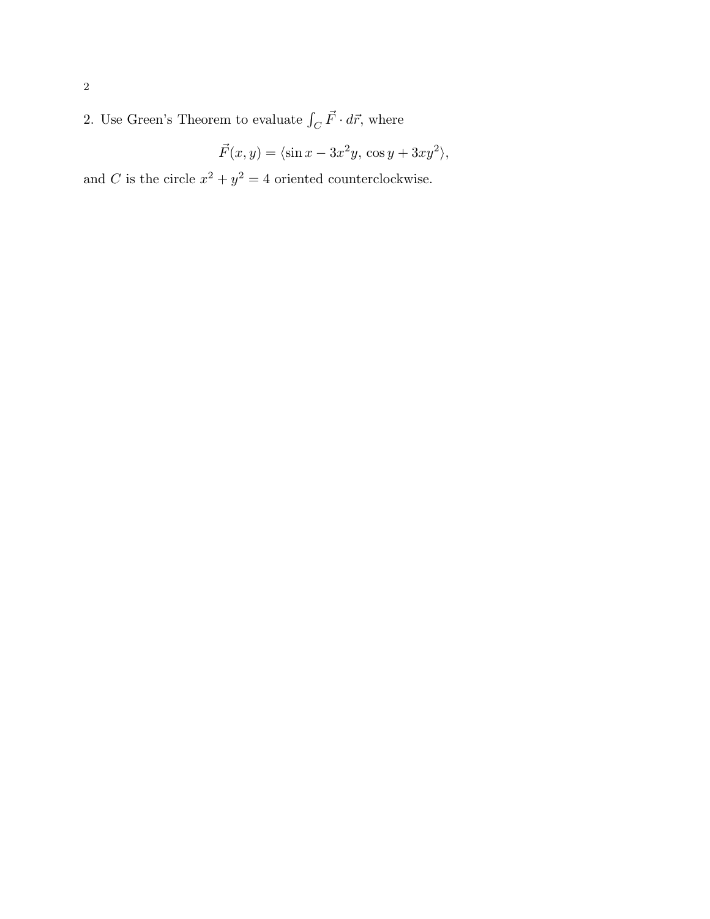2. Use Green's Theorem to evaluate  $\int_C \vec{F} \cdot d\vec{r}$ , where

$$
\vec{F}(x,y) = \langle \sin x - 3x^2y, \cos y + 3xy^2 \rangle,
$$

and C is the circle  $x^2 + y^2 = 4$  oriented counterclockwise.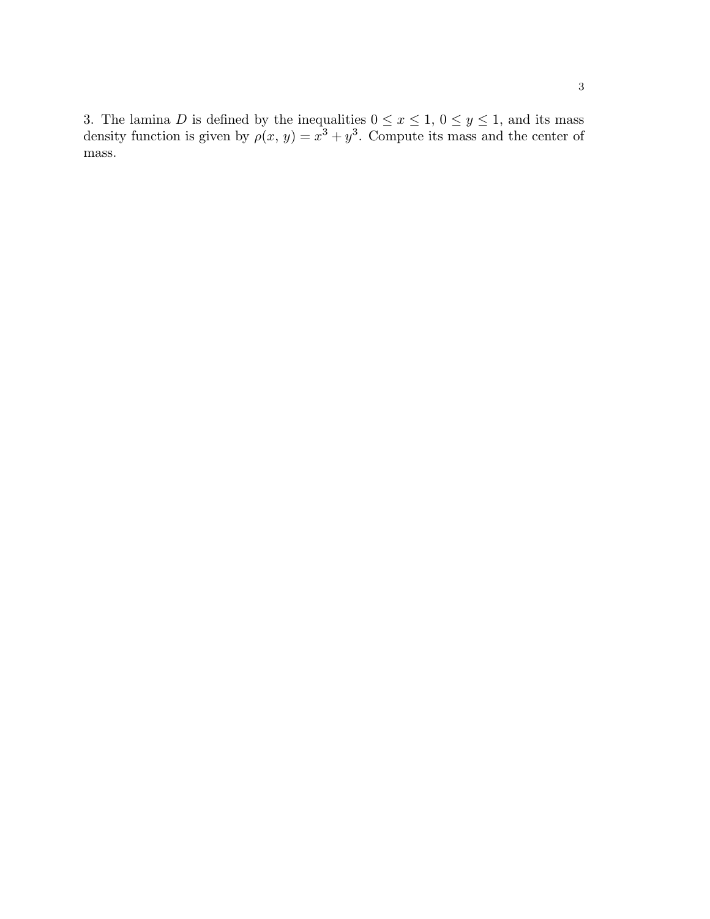3. The lamina D is defined by the inequalities  $0 \le x \le 1$ ,  $0 \le y \le 1$ , and its mass density function is given by  $\rho(x, y) = x^3 + y^3$ . Compute its mass and the center of mass.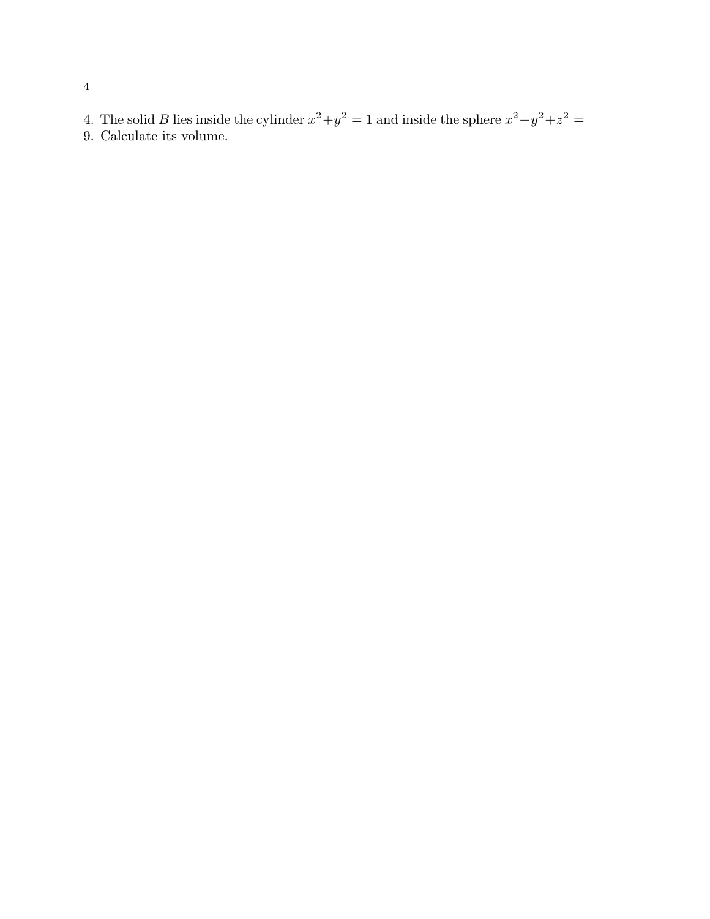- 4. The solid B lies inside the cylinder  $x^2 + y^2 = 1$  and inside the sphere  $x^2 + y^2 + z^2 = 1$
- 9. Calculate its volume.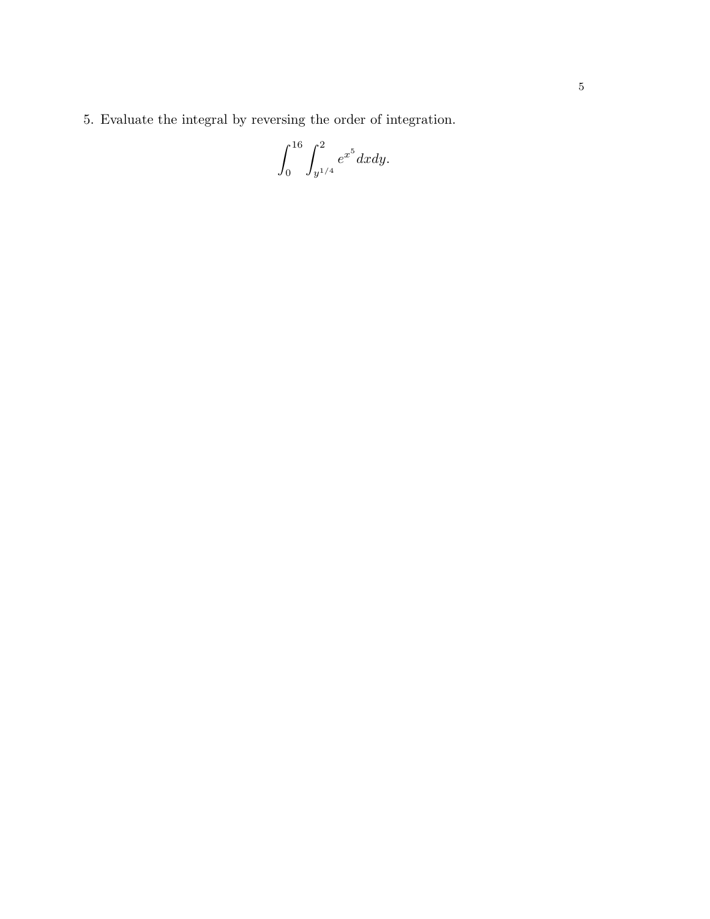5. Evaluate the integral by reversing the order of integration.

$$
\int_0^{16} \int_{y^{1/4}}^2 e^{x^5} dx dy.
$$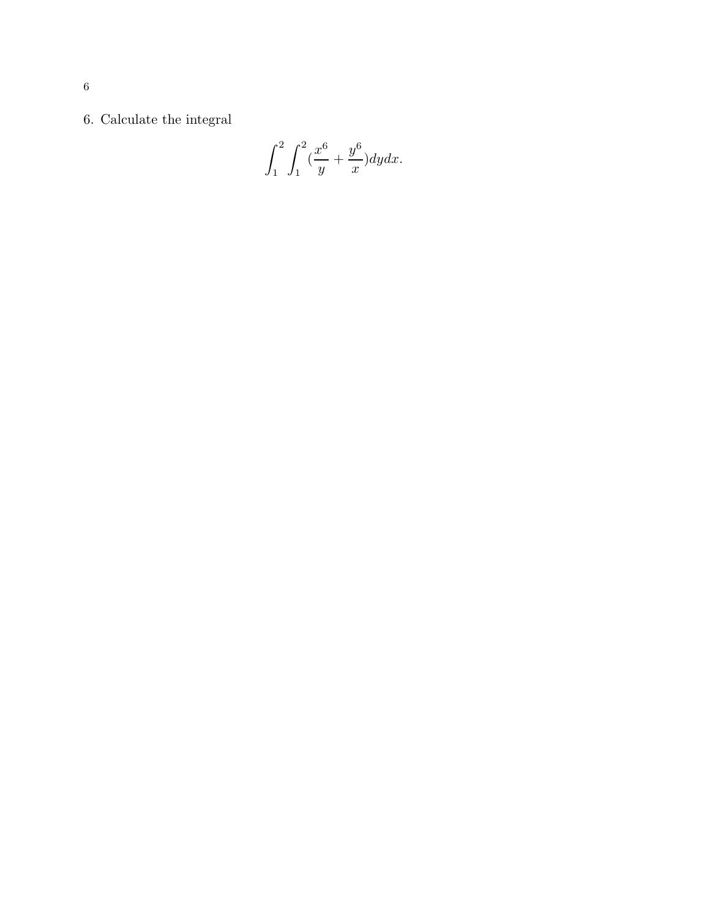$6.$  Calculate the integral  $\,$ 

$$
\int_{1}^{2} \int_{1}^{2} \left(\frac{x^{6}}{y} + \frac{y^{6}}{x}\right) dy dx.
$$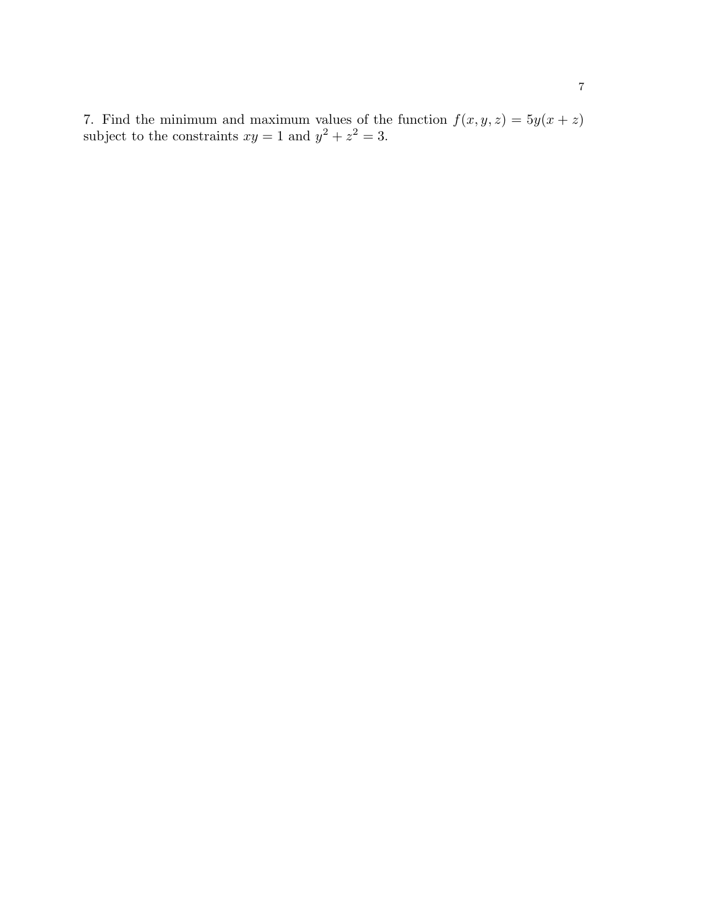7. Find the minimum and maximum values of the function  $f(x, y, z) = 5y(x + z)$ subject to the constraints  $xy = 1$  and  $y^2 + z^2 = 3$ .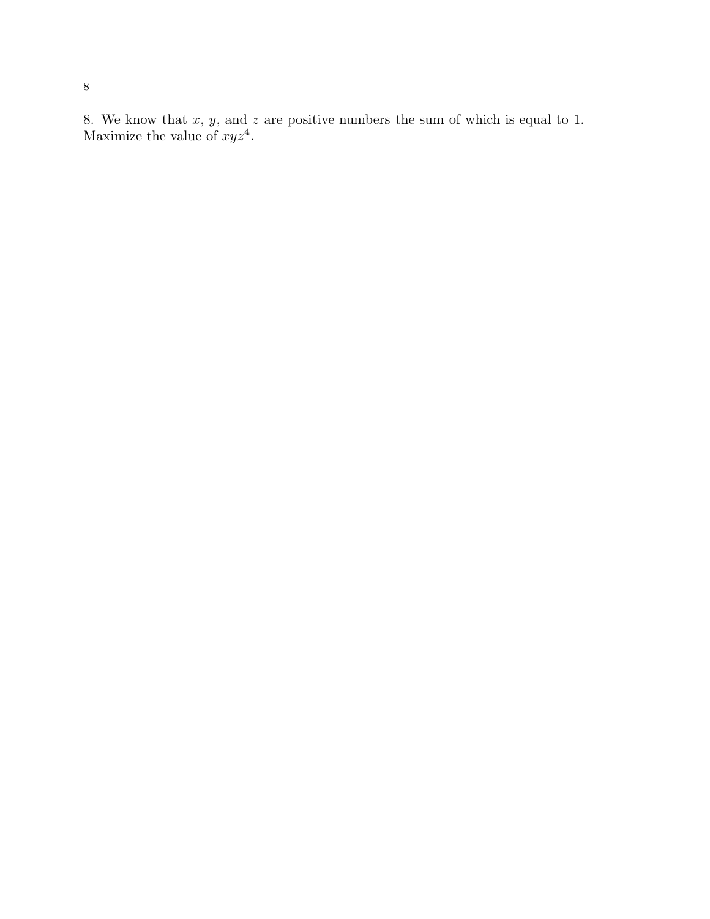8. We know that  $x, y$ , and  $z$  are positive numbers the sum of which is equal to 1. Maximize the value of  $xyz^4$ .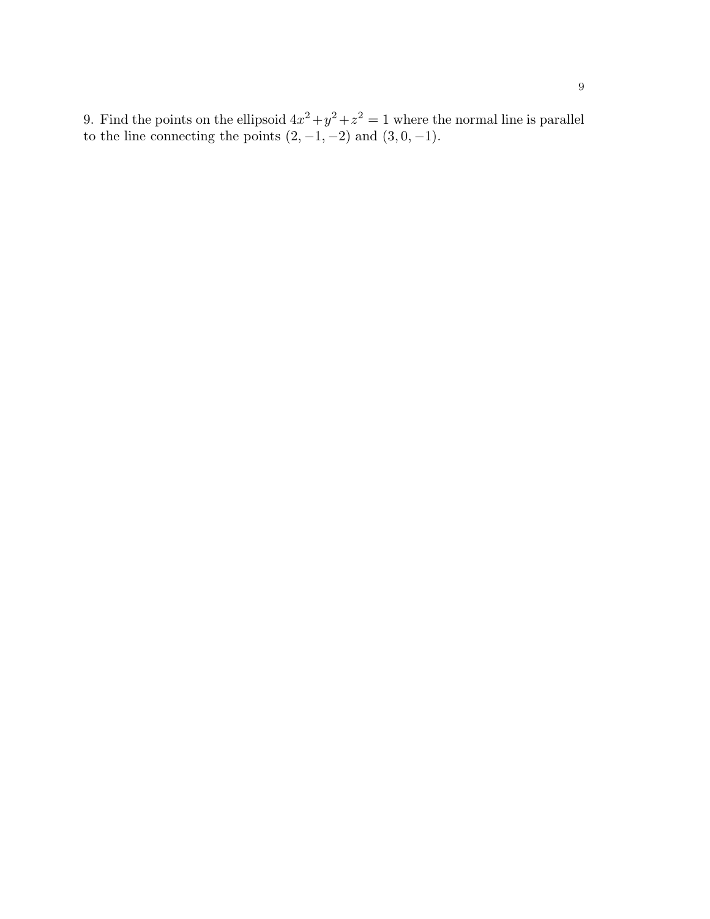9. Find the points on the ellipsoid  $4x^2 + y^2 + z^2 = 1$  where the normal line is parallel to the line connecting the points  $(2, -1, -2)$  and  $(3, 0, -1)$ .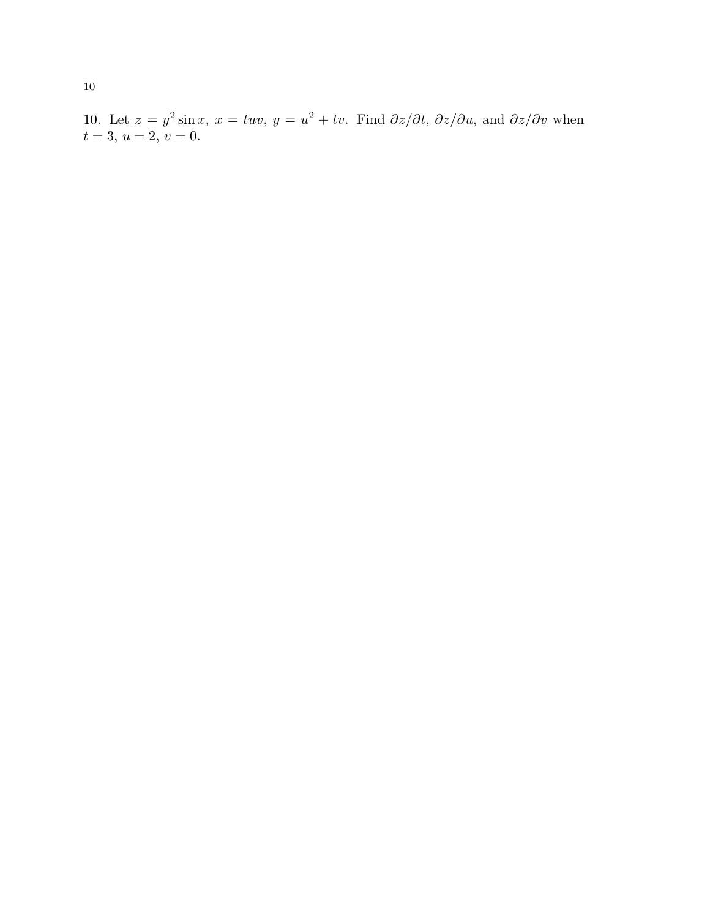10. Let  $z = y^2 \sin x$ ,  $x = tuv$ ,  $y = u^2 + tv$ . Find  $\partial z/\partial t$ ,  $\partial z/\partial u$ , and  $\partial z/\partial v$  when  $t = 3$ ,  $u = 2$ ,  $v = 0$ .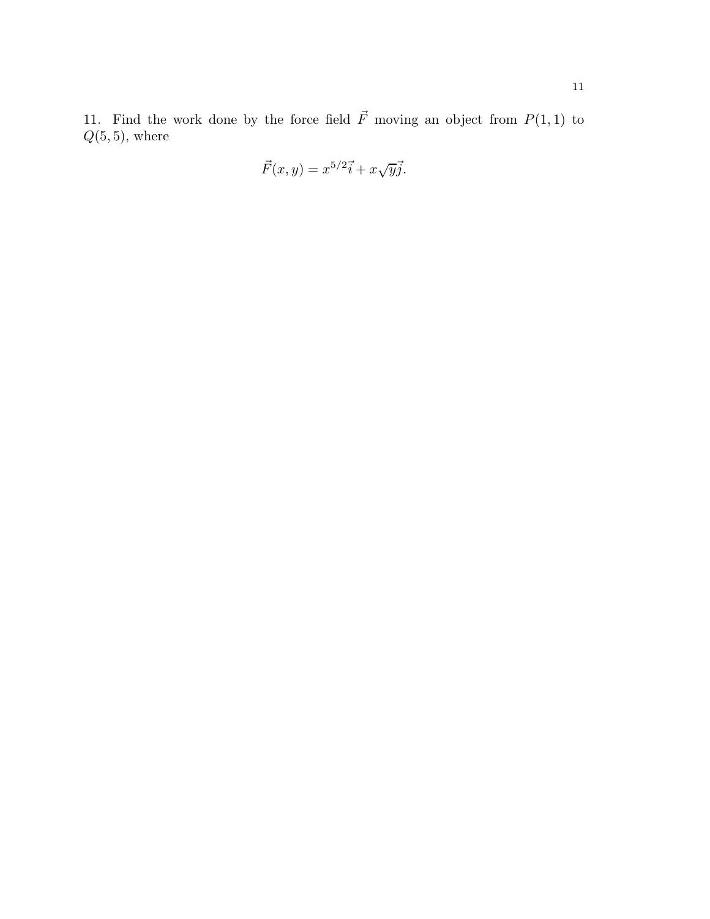11. Find the work done by the force field  $\vec{F}$  moving an object from  $P(1, 1)$  to  $Q(5, 5)$ , where

$$
\vec{F}(x,y) = x^{5/2}\vec{i} + x\sqrt{y}\vec{j}.
$$